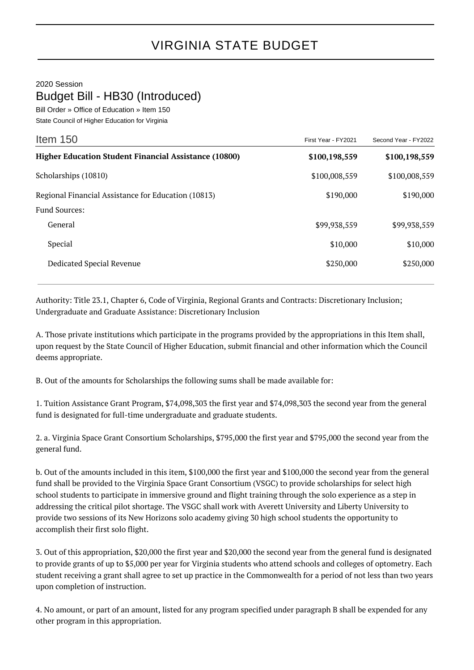## 2020 Session

## Budget Bill - HB30 (Introduced)

Bill Order » Office of Education » Item 150 State Council of Higher Education for Virginia

| Item $150$                                                   | First Year - FY2021 | Second Year - FY2022 |
|--------------------------------------------------------------|---------------------|----------------------|
| <b>Higher Education Student Financial Assistance (10800)</b> | \$100,198,559       | \$100,198,559        |
| Scholarships (10810)                                         | \$100,008,559       | \$100,008,559        |
| Regional Financial Assistance for Education (10813)          | \$190,000           | \$190,000            |
| <b>Fund Sources:</b>                                         |                     |                      |
| General                                                      | \$99,938,559        | \$99,938,559         |
| Special                                                      | \$10,000            | \$10,000             |
| Dedicated Special Revenue                                    | \$250,000           | \$250,000            |
|                                                              |                     |                      |

Authority: Title 23.1, Chapter 6, Code of Virginia, Regional Grants and Contracts: Discretionary Inclusion; Undergraduate and Graduate Assistance: Discretionary Inclusion

A. Those private institutions which participate in the programs provided by the appropriations in this Item shall, upon request by the State Council of Higher Education, submit financial and other information which the Council deems appropriate.

B. Out of the amounts for Scholarships the following sums shall be made available for:

1. Tuition Assistance Grant Program, \$74,098,303 the first year and \$74,098,303 the second year from the general fund is designated for full-time undergraduate and graduate students.

2. a. Virginia Space Grant Consortium Scholarships, \$795,000 the first year and \$795,000 the second year from the general fund.

b. Out of the amounts included in this item, \$100,000 the first year and \$100,000 the second year from the general fund shall be provided to the Virginia Space Grant Consortium (VSGC) to provide scholarships for select high school students to participate in immersive ground and flight training through the solo experience as a step in addressing the critical pilot shortage. The VSGC shall work with Averett University and Liberty University to provide two sessions of its New Horizons solo academy giving 30 high school students the opportunity to accomplish their first solo flight.

3. Out of this appropriation, \$20,000 the first year and \$20,000 the second year from the general fund is designated to provide grants of up to \$5,000 per year for Virginia students who attend schools and colleges of optometry. Each student receiving a grant shall agree to set up practice in the Commonwealth for a period of not less than two years upon completion of instruction.

4. No amount, or part of an amount, listed for any program specified under paragraph B shall be expended for any other program in this appropriation.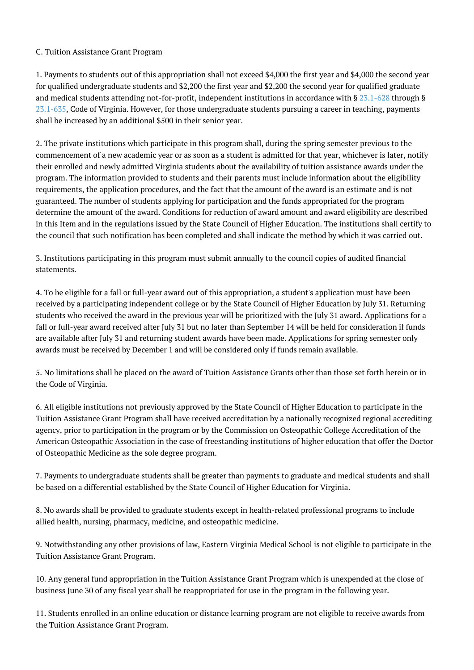## C. Tuition Assistance Grant Program

1. Payments to students out of this appropriation shall not exceed \$4,000 the first year and \$4,000 the second year for qualified undergraduate students and \$2,200 the first year and \$2,200 the second year for qualified graduate and medical students attending not-for-profit, independent institutions in accordance with § [23.1-628](http://law.lis.virginia.gov/vacode/23.1-628/) through § [23.1-635](http://law.lis.virginia.gov/vacode/23.1-635/), Code of Virginia. However, for those undergraduate students pursuing a career in teaching, payments shall be increased by an additional \$500 in their senior year.

2. The private institutions which participate in this program shall, during the spring semester previous to the commencement of a new academic year or as soon as a student is admitted for that year, whichever is later, notify their enrolled and newly admitted Virginia students about the availability of tuition assistance awards under the program. The information provided to students and their parents must include information about the eligibility requirements, the application procedures, and the fact that the amount of the award is an estimate and is not guaranteed. The number of students applying for participation and the funds appropriated for the program determine the amount of the award. Conditions for reduction of award amount and award eligibility are described in this Item and in the regulations issued by the State Council of Higher Education. The institutions shall certify to the council that such notification has been completed and shall indicate the method by which it was carried out.

3. Institutions participating in this program must submit annually to the council copies of audited financial statements.

4. To be eligible for a fall or full-year award out of this appropriation, a student's application must have been received by a participating independent college or by the State Council of Higher Education by July 31. Returning students who received the award in the previous year will be prioritized with the July 31 award. Applications for a fall or full-year award received after July 31 but no later than September 14 will be held for consideration if funds are available after July 31 and returning student awards have been made. Applications for spring semester only awards must be received by December 1 and will be considered only if funds remain available.

5. No limitations shall be placed on the award of Tuition Assistance Grants other than those set forth herein or in the Code of Virginia.

6. All eligible institutions not previously approved by the State Council of Higher Education to participate in the Tuition Assistance Grant Program shall have received accreditation by a nationally recognized regional accrediting agency, prior to participation in the program or by the Commission on Osteopathic College Accreditation of the American Osteopathic Association in the case of freestanding institutions of higher education that offer the Doctor of Osteopathic Medicine as the sole degree program.

7. Payments to undergraduate students shall be greater than payments to graduate and medical students and shall be based on a differential established by the State Council of Higher Education for Virginia.

8. No awards shall be provided to graduate students except in health-related professional programs to include allied health, nursing, pharmacy, medicine, and osteopathic medicine.

9. Notwithstanding any other provisions of law, Eastern Virginia Medical School is not eligible to participate in the Tuition Assistance Grant Program.

10. Any general fund appropriation in the Tuition Assistance Grant Program which is unexpended at the close of business June 30 of any fiscal year shall be reappropriated for use in the program in the following year.

11. Students enrolled in an online education or distance learning program are not eligible to receive awards from the Tuition Assistance Grant Program.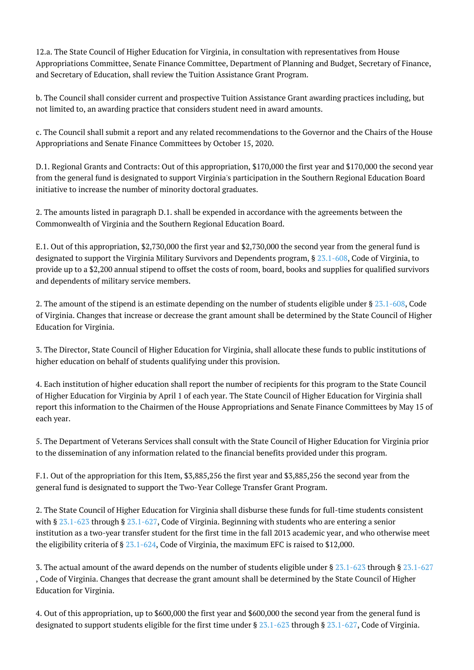12.a. The State Council of Higher Education for Virginia, in consultation with representatives from House Appropriations Committee, Senate Finance Committee, Department of Planning and Budget, Secretary of Finance, and Secretary of Education, shall review the Tuition Assistance Grant Program.

b. The Council shall consider current and prospective Tuition Assistance Grant awarding practices including, but not limited to, an awarding practice that considers student need in award amounts.

c. The Council shall submit a report and any related recommendations to the Governor and the Chairs of the House Appropriations and Senate Finance Committees by October 15, 2020.

D.1. Regional Grants and Contracts: Out of this appropriation, \$170,000 the first year and \$170,000 the second year from the general fund is designated to support Virginia's participation in the Southern Regional Education Board initiative to increase the number of minority doctoral graduates.

2. The amounts listed in paragraph D.1. shall be expended in accordance with the agreements between the Commonwealth of Virginia and the Southern Regional Education Board.

E.1. Out of this appropriation, \$2,730,000 the first year and \$2,730,000 the second year from the general fund is designated to support the Virginia Military Survivors and Dependents program, § [23.1-608](http://law.lis.virginia.gov/vacode/23.1-608/), Code of Virginia, to provide up to a \$2,200 annual stipend to offset the costs of room, board, books and supplies for qualified survivors and dependents of military service members.

2. The amount of the stipend is an estimate depending on the number of students eligible under § [23.1-608](http://law.lis.virginia.gov/vacode/23.1-608/), Code of Virginia. Changes that increase or decrease the grant amount shall be determined by the State Council of Higher Education for Virginia.

3. The Director, State Council of Higher Education for Virginia, shall allocate these funds to public institutions of higher education on behalf of students qualifying under this provision.

4. Each institution of higher education shall report the number of recipients for this program to the State Council of Higher Education for Virginia by April 1 of each year. The State Council of Higher Education for Virginia shall report this information to the Chairmen of the House Appropriations and Senate Finance Committees by May 15 of each year.

5. The Department of Veterans Services shall consult with the State Council of Higher Education for Virginia prior to the dissemination of any information related to the financial benefits provided under this program.

F.1. Out of the appropriation for this Item, \$3,885,256 the first year and \$3,885,256 the second year from the general fund is designated to support the Two-Year College Transfer Grant Program.

2. The State Council of Higher Education for Virginia shall disburse these funds for full-time students consistent with § [23.1-623](http://law.lis.virginia.gov/vacode/23.1-623/) through § [23.1-627,](http://law.lis.virginia.gov/vacode/23.1-627/) Code of Virginia. Beginning with students who are entering a senior institution as a two-year transfer student for the first time in the fall 2013 academic year, and who otherwise meet the eligibility criteria of § [23.1-624,](http://law.lis.virginia.gov/vacode/23.1-624/) Code of Virginia, the maximum EFC is raised to \$12,000.

3. The actual amount of the award depends on the number of students eligible under § [23.1-623](http://law.lis.virginia.gov/vacode/23.1-623/) through § [23.1-627](http://law.lis.virginia.gov/vacode/23.1-627/) , Code of Virginia. Changes that decrease the grant amount shall be determined by the State Council of Higher Education for Virginia.

4. Out of this appropriation, up to \$600,000 the first year and \$600,000 the second year from the general fund is designated to support students eligible for the first time under § [23.1-623](http://law.lis.virginia.gov/vacode/23.1-623/) through § [23.1-627,](http://law.lis.virginia.gov/vacode/23.1-627/) Code of Virginia.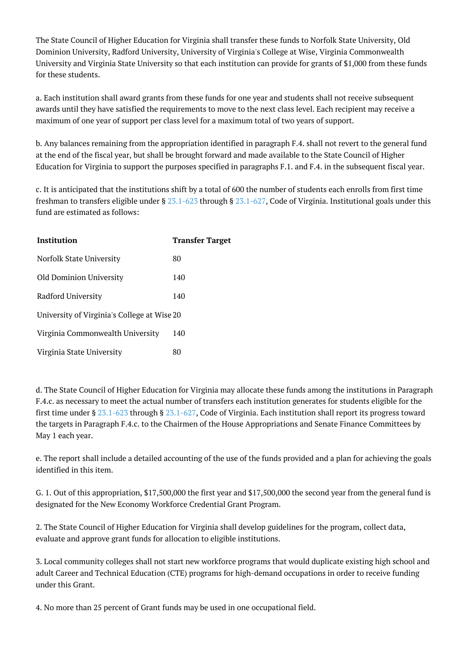The State Council of Higher Education for Virginia shall transfer these funds to Norfolk State University, Old Dominion University, Radford University, University of Virginia's College at Wise, Virginia Commonwealth University and Virginia State University so that each institution can provide for grants of \$1,000 from these funds for these students.

a. Each institution shall award grants from these funds for one year and students shall not receive subsequent awards until they have satisfied the requirements to move to the next class level. Each recipient may receive a maximum of one year of support per class level for a maximum total of two years of support.

b. Any balances remaining from the appropriation identified in paragraph F.4. shall not revert to the general fund at the end of the fiscal year, but shall be brought forward and made available to the State Council of Higher Education for Virginia to support the purposes specified in paragraphs F.1. and F.4. in the subsequent fiscal year.

c. It is anticipated that the institutions shift by a total of 600 the number of students each enrolls from first time freshman to transfers eligible under § [23.1-623](http://law.lis.virginia.gov/vacode/23.1-623/) through § [23.1-627,](http://law.lis.virginia.gov/vacode/23.1-627/) Code of Virginia. Institutional goals under this fund are estimated as follows:

| Institution                                 | <b>Transfer Target</b> |
|---------------------------------------------|------------------------|
| Norfolk State University                    | 80                     |
| Old Dominion University                     | 140                    |
| Radford University                          | 140                    |
| University of Virginia's College at Wise 20 |                        |
| Virginia Commonwealth University            | 140                    |
| Virginia State University                   | 80                     |

d. The State Council of Higher Education for Virginia may allocate these funds among the institutions in Paragraph F.4.c. as necessary to meet the actual number of transfers each institution generates for students eligible for the first time under § [23.1-623](http://law.lis.virginia.gov/vacode/23.1-623/) through § [23.1-627](http://law.lis.virginia.gov/vacode/23.1-627/), Code of Virginia. Each institution shall report its progress toward the targets in Paragraph F.4.c. to the Chairmen of the House Appropriations and Senate Finance Committees by May 1 each year.

e. The report shall include a detailed accounting of the use of the funds provided and a plan for achieving the goals identified in this item.

G. 1. Out of this appropriation, \$17,500,000 the first year and \$17,500,000 the second year from the general fund is designated for the New Economy Workforce Credential Grant Program.

2. The State Council of Higher Education for Virginia shall develop guidelines for the program, collect data, evaluate and approve grant funds for allocation to eligible institutions.

3. Local community colleges shall not start new workforce programs that would duplicate existing high school and adult Career and Technical Education (CTE) programs for high-demand occupations in order to receive funding under this Grant.

4. No more than 25 percent of Grant funds may be used in one occupational field.